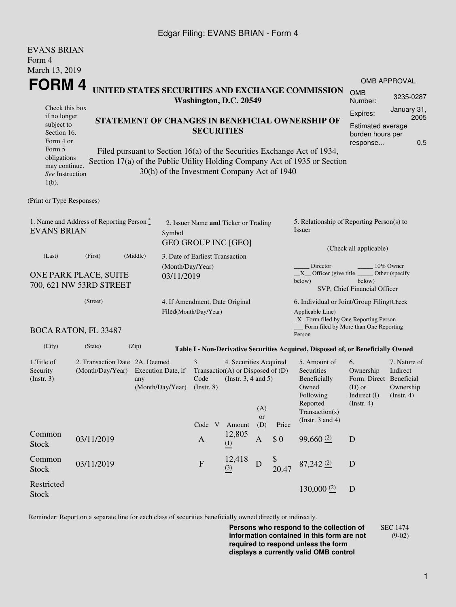### Edgar Filing: EVANS BRIAN - Form 4

| <b>EVANS BRIAN</b><br>Form 4                                                             |                                                                            |                                                                                                             |                                 |                                                                    |                                                                                           |           |                                                                                                                                                 |                                                                                                                                                       |                                                                                            |                                                           |  |
|------------------------------------------------------------------------------------------|----------------------------------------------------------------------------|-------------------------------------------------------------------------------------------------------------|---------------------------------|--------------------------------------------------------------------|-------------------------------------------------------------------------------------------|-----------|-------------------------------------------------------------------------------------------------------------------------------------------------|-------------------------------------------------------------------------------------------------------------------------------------------------------|--------------------------------------------------------------------------------------------|-----------------------------------------------------------|--|
| March 13, 2019                                                                           |                                                                            |                                                                                                             |                                 |                                                                    |                                                                                           |           |                                                                                                                                                 |                                                                                                                                                       |                                                                                            |                                                           |  |
| <b>FORM4</b>                                                                             |                                                                            |                                                                                                             |                                 |                                                                    |                                                                                           |           |                                                                                                                                                 |                                                                                                                                                       |                                                                                            | <b>OMB APPROVAL</b>                                       |  |
|                                                                                          | UNITED STATES SECURITIES AND EXCHANGE COMMISSION<br>Washington, D.C. 20549 |                                                                                                             |                                 |                                                                    |                                                                                           |           |                                                                                                                                                 |                                                                                                                                                       | <b>OMB</b><br>Number:                                                                      | 3235-0287                                                 |  |
| Check this box<br>if no longer<br>subject to<br>Section 16.<br>Form 4 or<br>Form 5       | STATEMENT OF CHANGES IN BENEFICIAL OWNERSHIP OF                            | January 31,<br>Expires:<br>2005<br>Estimated average<br>burden hours per<br>0.5<br>response                 |                                 |                                                                    |                                                                                           |           |                                                                                                                                                 |                                                                                                                                                       |                                                                                            |                                                           |  |
| obligations<br>may continue.<br>See Instruction<br>$1(b)$ .                              |                                                                            |                                                                                                             |                                 | 30(h) of the Investment Company Act of 1940                        |                                                                                           |           |                                                                                                                                                 | Filed pursuant to Section 16(a) of the Securities Exchange Act of 1934,<br>Section 17(a) of the Public Utility Holding Company Act of 1935 or Section |                                                                                            |                                                           |  |
| (Print or Type Responses)                                                                |                                                                            |                                                                                                             |                                 |                                                                    |                                                                                           |           |                                                                                                                                                 |                                                                                                                                                       |                                                                                            |                                                           |  |
| 1. Name and Address of Reporting Person $\stackrel{*}{\mathbb{L}}$<br><b>EVANS BRIAN</b> |                                                                            |                                                                                                             | Symbol                          | 2. Issuer Name and Ticker or Trading<br><b>GEO GROUP INC [GEO]</b> |                                                                                           |           |                                                                                                                                                 | 5. Relationship of Reporting Person(s) to<br>Issuer                                                                                                   |                                                                                            |                                                           |  |
| (Last)                                                                                   | (First)                                                                    | (Middle)                                                                                                    | 3. Date of Earliest Transaction |                                                                    |                                                                                           |           |                                                                                                                                                 | (Check all applicable)                                                                                                                                |                                                                                            |                                                           |  |
| ONE PARK PLACE, SUITE<br>700, 621 NW 53RD STREET                                         |                                                                            | (Month/Day/Year)<br>03/11/2019                                                                              |                                 |                                                                    |                                                                                           |           | Director<br>10% Owner<br>$X$ Officer (give title $\overline{\phantom{a}}$<br>Other (specify<br>below)<br>below)<br>SVP, Chief Financial Officer |                                                                                                                                                       |                                                                                            |                                                           |  |
| (Street)                                                                                 |                                                                            |                                                                                                             |                                 | 4. If Amendment, Date Original<br>Filed(Month/Day/Year)            |                                                                                           |           |                                                                                                                                                 | 6. Individual or Joint/Group Filing(Check<br>Applicable Line)<br>_X_ Form filed by One Reporting Person<br>Form filed by More than One Reporting      |                                                                                            |                                                           |  |
|                                                                                          | <b>BOCA RATON, FL 33487</b>                                                |                                                                                                             |                                 |                                                                    |                                                                                           |           |                                                                                                                                                 | Person                                                                                                                                                |                                                                                            |                                                           |  |
| (City)                                                                                   | (State)                                                                    | (Zip)                                                                                                       |                                 |                                                                    |                                                                                           |           |                                                                                                                                                 | Table I - Non-Derivative Securities Acquired, Disposed of, or Beneficially Owned                                                                      |                                                                                            |                                                           |  |
| 1. Title of<br>Security<br>$($ Instr. 3 $)$                                              |                                                                            | 2. Transaction Date 2A. Deemed<br>(Month/Day/Year) Execution Date, if<br>any<br>(Month/Day/Year) (Instr. 8) |                                 |                                                                    | 4. Securities Acquired<br>Transaction(A) or Disposed of $(D)$<br>(Instr. $3, 4$ and $5$ ) | (A)       |                                                                                                                                                 | 5. Amount of<br>Securities<br>Beneficially<br>Owned<br>Following<br>Reported<br>Transaction(s)                                                        | 6.<br>Ownership<br>Form: Direct Beneficial<br>$(D)$ or<br>Indirect (I)<br>$($ Instr. 4 $)$ | 7. Nature of<br>Indirect<br>Ownership<br>$($ Instr. 4 $)$ |  |
|                                                                                          |                                                                            |                                                                                                             |                                 | Code V                                                             | Amount                                                                                    | or<br>(D) | Price                                                                                                                                           | (Instr. $3$ and $4$ )                                                                                                                                 |                                                                                            |                                                           |  |
| Common<br><b>Stock</b>                                                                   | 03/11/2019                                                                 |                                                                                                             |                                 | $\mathbf{A}$                                                       | 12,805<br>(1)                                                                             | A         | \$0                                                                                                                                             | $99,660$ <sup>(2)</sup>                                                                                                                               | D                                                                                          |                                                           |  |
| Common<br><b>Stock</b>                                                                   | 03/11/2019                                                                 |                                                                                                             |                                 | $\boldsymbol{\mathrm{F}}$                                          | 12,418<br>(3)                                                                             | D         | 20.47                                                                                                                                           | $87,242$ $(2)$                                                                                                                                        | D                                                                                          |                                                           |  |
| Restricted<br><b>Stock</b>                                                               |                                                                            |                                                                                                             |                                 |                                                                    |                                                                                           |           |                                                                                                                                                 | 130,000(2)                                                                                                                                            | D                                                                                          |                                                           |  |

Reminder: Report on a separate line for each class of securities beneficially owned directly or indirectly.

**Persons who respond to the collection of information contained in this form are not required to respond unless the form displays a currently valid OMB control** SEC 1474 (9-02)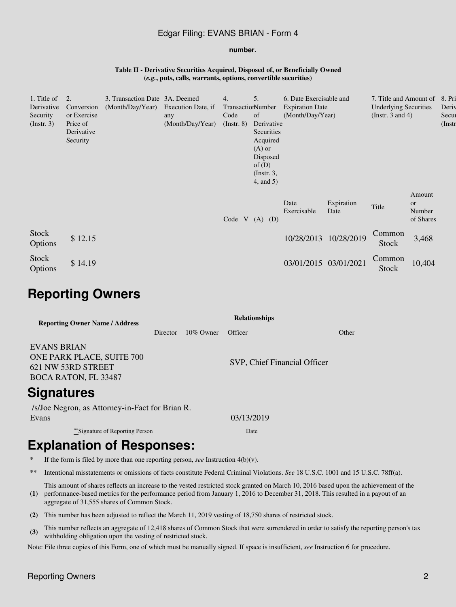### Edgar Filing: EVANS BRIAN - Form 4

#### **number.**

#### **Table II - Derivative Securities Acquired, Disposed of, or Beneficially Owned (***e.g.***, puts, calls, warrants, options, convertible securities)**

| 1. Title of<br>Derivative    | 2.<br>Conversion                                  | 3. Transaction Date 3A. Deemed |                                               | 4.<br>TransactionNumber | 5.                                                                                                                 | 6. Date Exercisable and                    |                    | 7. Title and Amount of                                |                                            | 8. Pri<br>Deriv    |
|------------------------------|---------------------------------------------------|--------------------------------|-----------------------------------------------|-------------------------|--------------------------------------------------------------------------------------------------------------------|--------------------------------------------|--------------------|-------------------------------------------------------|--------------------------------------------|--------------------|
| Security<br>$($ Instr. 3 $)$ | or Exercise<br>Price of<br>Derivative<br>Security | (Month/Day/Year)               | Execution Date, if<br>any<br>(Month/Day/Year) | Code<br>$($ Instr. $8)$ | of<br>Derivative<br>Securities<br>Acquired<br>$(A)$ or<br>Disposed<br>of $(D)$<br>$($ Instr. 3,<br>$4$ , and $5$ ) | <b>Expiration Date</b><br>(Month/Day/Year) |                    | <b>Underlying Securities</b><br>(Instr. $3$ and $4$ ) |                                            | Secur<br>$($ Instr |
|                              |                                                   |                                |                                               | Code V                  | $(A)$ $(D)$                                                                                                        | Date<br>Exercisable                        | Expiration<br>Date | Title                                                 | Amount<br><b>or</b><br>Number<br>of Shares |                    |
| <b>Stock</b><br>Options      | \$12.15                                           |                                |                                               |                         |                                                                                                                    | 10/28/2013                                 | 10/28/2019         | Common<br>Stock                                       | 3,468                                      |                    |
| <b>Stock</b><br>Options      | \$14.19                                           |                                |                                               |                         |                                                                                                                    | 03/01/2015                                 | 03/01/2021         | Common<br>Stock                                       | 10,404                                     |                    |

# **Reporting Owners**

| <b>Reporting Owner Name / Address</b>                                                                | <b>Relationships</b> |              |                              |       |  |  |  |  |
|------------------------------------------------------------------------------------------------------|----------------------|--------------|------------------------------|-------|--|--|--|--|
|                                                                                                      | Director             | $10\%$ Owner | Officer                      | Other |  |  |  |  |
| <b>EVANS BRIAN</b><br>ONE PARK PLACE, SUITE 700<br>621 NW 53RD STREET<br><b>BOCA RATON, FL 33487</b> |                      |              | SVP, Chief Financial Officer |       |  |  |  |  |
| <b>Signatures</b>                                                                                    |                      |              |                              |       |  |  |  |  |
| /s/Joe Negron, as Attorney-in-Fact for Brian R.<br>Evans                                             |                      |              | 03/13/2019                   |       |  |  |  |  |
| **Signature of Reporting Person                                                                      |                      |              | Date                         |       |  |  |  |  |

# **Explanation of Responses:**

- **\*** If the form is filed by more than one reporting person, *see* Instruction 4(b)(v).
- **\*\*** Intentional misstatements or omissions of facts constitute Federal Criminal Violations. *See* 18 U.S.C. 1001 and 15 U.S.C. 78ff(a).

**(1)** This amount of shares reflects an increase to the vested restricted stock granted on March 10, 2016 based upon the achievement of the performance-based metrics for the performance period from January 1, 2016 to December 31, 2018. This resulted in a payout of an aggregate of 31,555 shares of Common Stock.

- **(2)** This number has been adjusted to reflect the March 11, 2019 vesting of 18,750 shares of restricted stock.
- **(3)** This number reflects an aggregate of 12,418 shares of Common Stock that were surrendered in order to satisfy the reporting person's tax withholding obligation upon the vesting of restricted stock.

Note: File three copies of this Form, one of which must be manually signed. If space is insufficient, *see* Instruction 6 for procedure.